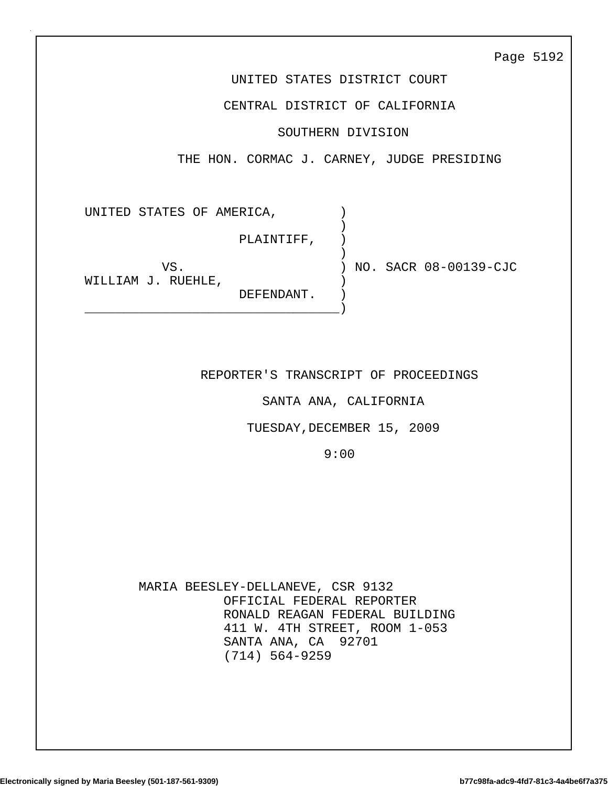UNITED STATES DISTRICT COURT

CENTRAL DISTRICT OF CALIFORNIA

SOUTHERN DIVISION

THE HON. CORMAC J. CARNEY, JUDGE PRESIDING

| UNITED STATES OF AMERICA, |            |  |                       |
|---------------------------|------------|--|-----------------------|
|                           | PLAINTIFF, |  |                       |
| VS.                       |            |  | NO. SACR 08-00139-CJC |
| WILLIAM J. RUEHLE,        | DEFENDANT. |  |                       |

REPORTER'S TRANSCRIPT OF PROCEEDINGS

SANTA ANA, CALIFORNIA

TUESDAY,DECEMBER 15, 2009

9:00

 MARIA BEESLEY-DELLANEVE, CSR 9132 OFFICIAL FEDERAL REPORTER RONALD REAGAN FEDERAL BUILDING 411 W. 4TH STREET, ROOM 1-053 SANTA ANA, CA 92701 (714) 564-9259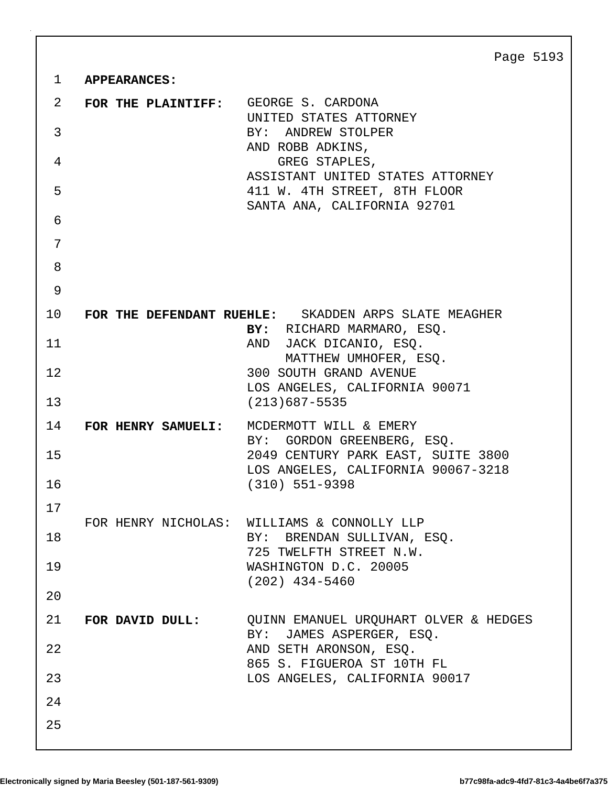| Page | 5193 |  |
|------|------|--|
|------|------|--|

| $1 \quad$ | <b>APPEARANCES:</b> |                 |                                                                                  |
|-----------|---------------------|-----------------|----------------------------------------------------------------------------------|
| 2         |                     |                 | FOR THE PLAINTIFF: GEORGE S. CARDONA<br>UNITED STATES ATTORNEY                   |
| 3         |                     |                 | BY: ANDREW STOLPER<br>AND ROBB ADKINS,                                           |
| 4         |                     |                 | GREG STAPLES,<br>ASSISTANT UNITED STATES ATTORNEY                                |
| 5         |                     |                 | 411 W. 4TH STREET, 8TH FLOOR<br>SANTA ANA, CALIFORNIA 92701                      |
| 6         |                     |                 |                                                                                  |
| 7         |                     |                 |                                                                                  |
| 8         |                     |                 |                                                                                  |
| 9         |                     |                 |                                                                                  |
| 10        |                     |                 | FOR THE DEFENDANT RUEHLE: SKADDEN ARPS SLATE MEAGHER                             |
| 11        |                     |                 | BY: RICHARD MARMARO, ESQ.<br>AND JACK DICANIO, ESQ.                              |
| 12        |                     |                 | MATTHEW UMHOFER, ESQ.<br>300 SOUTH GRAND AVENUE<br>LOS ANGELES, CALIFORNIA 90071 |
| 13        |                     |                 | $(213)687 - 5535$                                                                |
|           |                     |                 | 14 FOR HENRY SAMUELI: MCDERMOTT WILL & EMERY<br>BY: GORDON GREENBERG, ESQ.       |
| 15        |                     |                 | 2049 CENTURY PARK EAST, SUITE 3800<br>LOS ANGELES, CALIFORNIA 90067-3218         |
| 16        |                     |                 | $(310)$ 551-9398                                                                 |
| 17        |                     |                 | FOR HENRY NICHOLAS: WILLIAMS & CONNOLLY LLP                                      |
| 18        |                     |                 | BY: BRENDAN SULLIVAN, ESQ.<br>725 TWELFTH STREET N.W.                            |
| 19        |                     |                 | WASHINGTON D.C. 20005<br>$(202)$ 434-5460                                        |
| 20        |                     |                 |                                                                                  |
| 21        |                     | FOR DAVID DULL: | OUINN EMANUEL UROUHART OLVER & HEDGES<br>BY: JAMES ASPERGER, ESQ.                |
| 22        |                     |                 | AND SETH ARONSON, ESQ.<br>865 S. FIGUEROA ST 10TH FL                             |
| 23        |                     |                 | LOS ANGELES, CALIFORNIA 90017                                                    |
| 24        |                     |                 |                                                                                  |
| 25        |                     |                 |                                                                                  |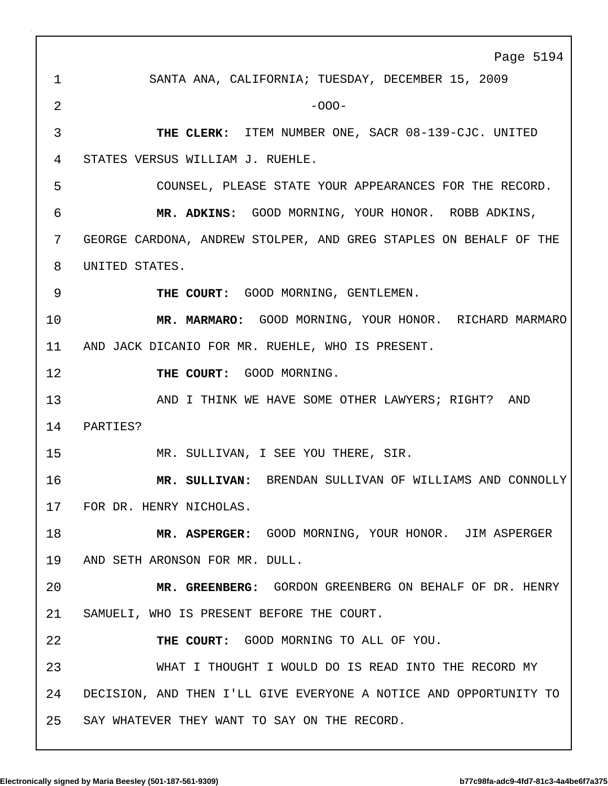|              | Page 5194                                                         |
|--------------|-------------------------------------------------------------------|
| $\mathbf{1}$ | SANTA ANA, CALIFORNIA; TUESDAY, DECEMBER 15, 2009                 |
| 2            | $-000-$                                                           |
| 3            | THE CLERK: ITEM NUMBER ONE, SACR 08-139-CJC. UNITED               |
| 4            | STATES VERSUS WILLIAM J. RUEHLE.                                  |
| 5            | COUNSEL, PLEASE STATE YOUR APPEARANCES FOR THE RECORD.            |
| 6            | MR. ADKINS: GOOD MORNING, YOUR HONOR. ROBB ADKINS,                |
| 7            | GEORGE CARDONA, ANDREW STOLPER, AND GREG STAPLES ON BEHALF OF THE |
| 8            | UNITED STATES.                                                    |
| 9            | THE COURT: GOOD MORNING, GENTLEMEN.                               |
| 10           | MR. MARMARO: GOOD MORNING, YOUR HONOR. RICHARD MARMARO            |
|              | 11 AND JACK DICANIO FOR MR. RUEHLE, WHO IS PRESENT.               |
| 12           | THE COURT: GOOD MORNING.                                          |
| 13           | AND I THINK WE HAVE SOME OTHER LAWYERS; RIGHT? AND                |
|              | 14 PARTIES?                                                       |
| 15           | MR. SULLIVAN, I SEE YOU THERE, SIR.                               |
| 16           | MR. SULLIVAN: BRENDAN SULLIVAN OF WILLIAMS AND CONNOLLY           |
|              | 17 FOR DR. HENRY NICHOLAS.                                        |
| 18           | MR. ASPERGER: GOOD MORNING, YOUR HONOR. JIM ASPERGER              |
| 19           | AND SETH ARONSON FOR MR. DULL.                                    |
| 20           | MR. GREENBERG: GORDON GREENBERG ON BEHALF OF DR. HENRY            |
| 21           | SAMUELI, WHO IS PRESENT BEFORE THE COURT.                         |
| 22           | THE COURT: GOOD MORNING TO ALL OF YOU.                            |
| 23           | WHAT I THOUGHT I WOULD DO IS READ INTO THE RECORD MY              |
| 24           | DECISION, AND THEN I'LL GIVE EVERYONE A NOTICE AND OPPORTUNITY TO |
| 25           | SAY WHATEVER THEY WANT TO SAY ON THE RECORD.                      |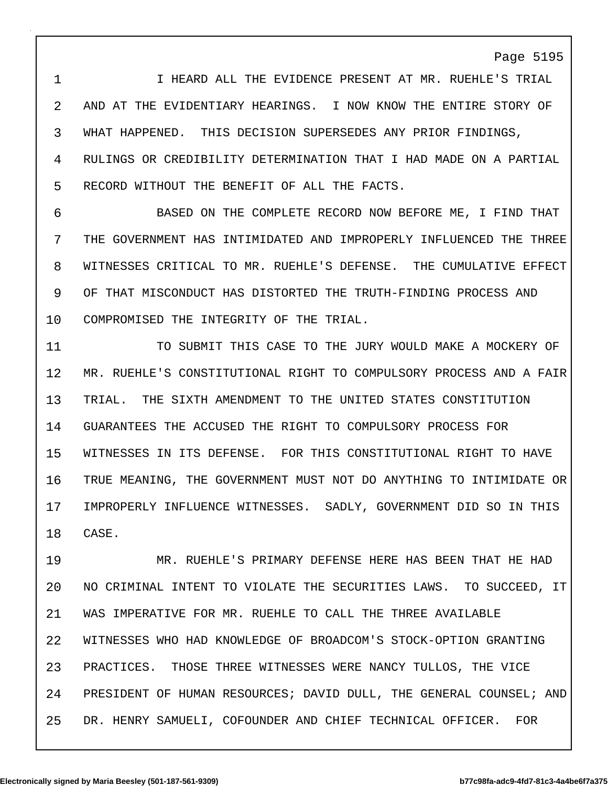1 I HEARD ALL THE EVIDENCE PRESENT AT MR. RUEHLE'S TRIAL AND AT THE EVIDENTIARY HEARINGS. I NOW KNOW THE ENTIRE STORY OF WHAT HAPPENED. THIS DECISION SUPERSEDES ANY PRIOR FINDINGS, RULINGS OR CREDIBILITY DETERMINATION THAT I HAD MADE ON A PARTIAL RECORD WITHOUT THE BENEFIT OF ALL THE FACTS.

6 BASED ON THE COMPLETE RECORD NOW BEFORE ME, I FIND THAT THE GOVERNMENT HAS INTIMIDATED AND IMPROPERLY INFLUENCED THE THREE WITNESSES CRITICAL TO MR. RUEHLE'S DEFENSE. THE CUMULATIVE EFFECT OF THAT MISCONDUCT HAS DISTORTED THE TRUTH-FINDING PROCESS AND COMPROMISED THE INTEGRITY OF THE TRIAL.

11 TO SUBMIT THIS CASE TO THE JURY WOULD MAKE A MOCKERY OF MR. RUEHLE'S CONSTITUTIONAL RIGHT TO COMPULSORY PROCESS AND A FAIR TRIAL. THE SIXTH AMENDMENT TO THE UNITED STATES CONSTITUTION GUARANTEES THE ACCUSED THE RIGHT TO COMPULSORY PROCESS FOR WITNESSES IN ITS DEFENSE. FOR THIS CONSTITUTIONAL RIGHT TO HAVE TRUE MEANING, THE GOVERNMENT MUST NOT DO ANYTHING TO INTIMIDATE OR IMPROPERLY INFLUENCE WITNESSES. SADLY, GOVERNMENT DID SO IN THIS CASE.

19 MR. RUEHLE'S PRIMARY DEFENSE HERE HAS BEEN THAT HE HAD NO CRIMINAL INTENT TO VIOLATE THE SECURITIES LAWS. TO SUCCEED, IT WAS IMPERATIVE FOR MR. RUEHLE TO CALL THE THREE AVAILABLE WITNESSES WHO HAD KNOWLEDGE OF BROADCOM'S STOCK-OPTION GRANTING PRACTICES. THOSE THREE WITNESSES WERE NANCY TULLOS, THE VICE PRESIDENT OF HUMAN RESOURCES; DAVID DULL, THE GENERAL COUNSEL; AND DR. HENRY SAMUELI, COFOUNDER AND CHIEF TECHNICAL OFFICER. FOR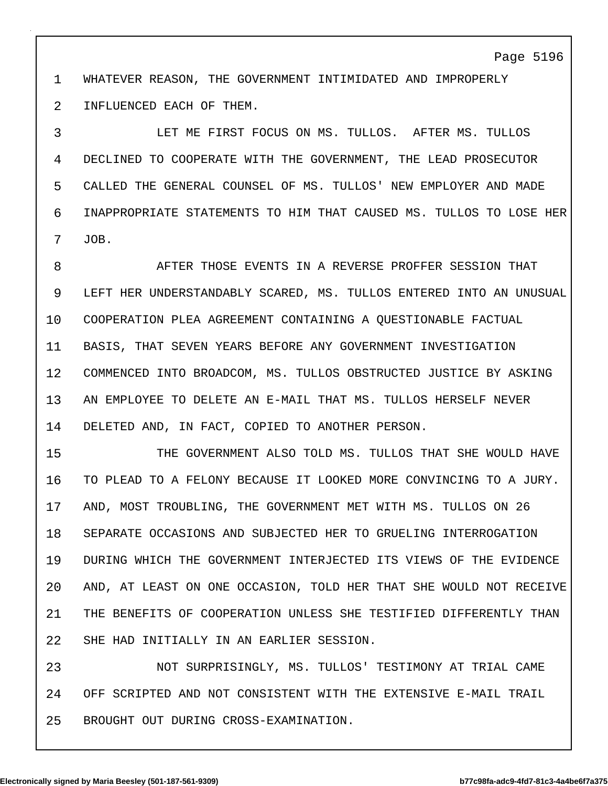WHATEVER REASON, THE GOVERNMENT INTIMIDATED AND IMPROPERLY INFLUENCED EACH OF THEM.

3 LET ME FIRST FOCUS ON MS. TULLOS. AFTER MS. TULLOS DECLINED TO COOPERATE WITH THE GOVERNMENT, THE LEAD PROSECUTOR CALLED THE GENERAL COUNSEL OF MS. TULLOS' NEW EMPLOYER AND MADE INAPPROPRIATE STATEMENTS TO HIM THAT CAUSED MS. TULLOS TO LOSE HER JOB.

**8 AFTER THOSE EVENTS IN A REVERSE PROFFER SESSION THAT**  LEFT HER UNDERSTANDABLY SCARED, MS. TULLOS ENTERED INTO AN UNUSUAL COOPERATION PLEA AGREEMENT CONTAINING A QUESTIONABLE FACTUAL BASIS, THAT SEVEN YEARS BEFORE ANY GOVERNMENT INVESTIGATION COMMENCED INTO BROADCOM, MS. TULLOS OBSTRUCTED JUSTICE BY ASKING AN EMPLOYEE TO DELETE AN E-MAIL THAT MS. TULLOS HERSELF NEVER DELETED AND, IN FACT, COPIED TO ANOTHER PERSON.

15 THE GOVERNMENT ALSO TOLD MS. TULLOS THAT SHE WOULD HAVE TO PLEAD TO A FELONY BECAUSE IT LOOKED MORE CONVINCING TO A JURY. AND, MOST TROUBLING, THE GOVERNMENT MET WITH MS. TULLOS ON 26 SEPARATE OCCASIONS AND SUBJECTED HER TO GRUELING INTERROGATION DURING WHICH THE GOVERNMENT INTERJECTED ITS VIEWS OF THE EVIDENCE AND, AT LEAST ON ONE OCCASION, TOLD HER THAT SHE WOULD NOT RECEIVE THE BENEFITS OF COOPERATION UNLESS SHE TESTIFIED DIFFERENTLY THAN SHE HAD INITIALLY IN AN EARLIER SESSION.

23 NOT SURPRISINGLY, MS. TULLOS' TESTIMONY AT TRIAL CAME OFF SCRIPTED AND NOT CONSISTENT WITH THE EXTENSIVE E-MAIL TRAIL BROUGHT OUT DURING CROSS-EXAMINATION.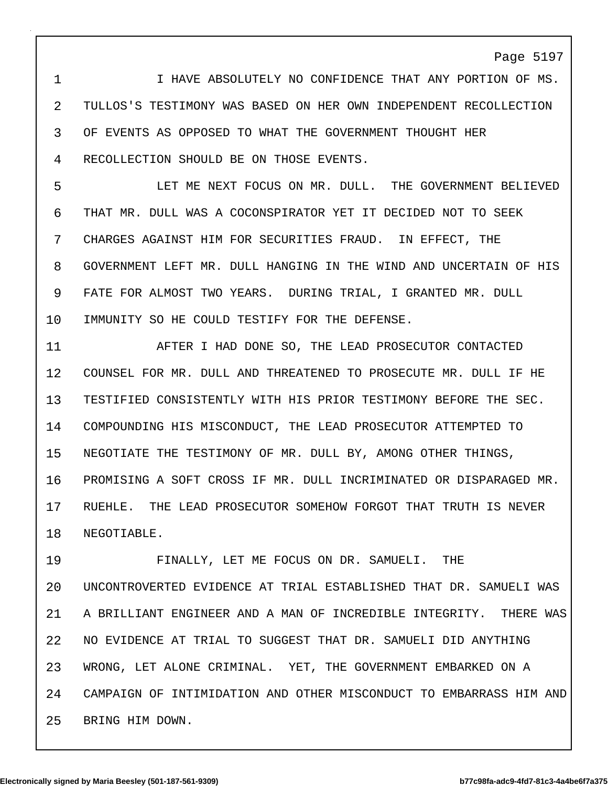**I HAVE ABSOLUTELY NO CONFIDENCE THAT ANY PORTION OF MS.**  TULLOS'S TESTIMONY WAS BASED ON HER OWN INDEPENDENT RECOLLECTION OF EVENTS AS OPPOSED TO WHAT THE GOVERNMENT THOUGHT HER RECOLLECTION SHOULD BE ON THOSE EVENTS.

5 LET ME NEXT FOCUS ON MR. DULL. THE GOVERNMENT BELIEVED THAT MR. DULL WAS A COCONSPIRATOR YET IT DECIDED NOT TO SEEK CHARGES AGAINST HIM FOR SECURITIES FRAUD. IN EFFECT, THE GOVERNMENT LEFT MR. DULL HANGING IN THE WIND AND UNCERTAIN OF HIS FATE FOR ALMOST TWO YEARS. DURING TRIAL, I GRANTED MR. DULL IMMUNITY SO HE COULD TESTIFY FOR THE DEFENSE.

**AFTER I HAD DONE SO, THE LEAD PROSECUTOR CONTACTED**  COUNSEL FOR MR. DULL AND THREATENED TO PROSECUTE MR. DULL IF HE TESTIFIED CONSISTENTLY WITH HIS PRIOR TESTIMONY BEFORE THE SEC. COMPOUNDING HIS MISCONDUCT, THE LEAD PROSECUTOR ATTEMPTED TO NEGOTIATE THE TESTIMONY OF MR. DULL BY, AMONG OTHER THINGS, PROMISING A SOFT CROSS IF MR. DULL INCRIMINATED OR DISPARAGED MR. RUEHLE. THE LEAD PROSECUTOR SOMEHOW FORGOT THAT TRUTH IS NEVER NEGOTIABLE.

19 FINALLY, LET ME FOCUS ON DR. SAMUELI. THE UNCONTROVERTED EVIDENCE AT TRIAL ESTABLISHED THAT DR. SAMUELI WAS A BRILLIANT ENGINEER AND A MAN OF INCREDIBLE INTEGRITY. THERE WAS NO EVIDENCE AT TRIAL TO SUGGEST THAT DR. SAMUELI DID ANYTHING WRONG, LET ALONE CRIMINAL. YET, THE GOVERNMENT EMBARKED ON A CAMPAIGN OF INTIMIDATION AND OTHER MISCONDUCT TO EMBARRASS HIM AND BRING HIM DOWN.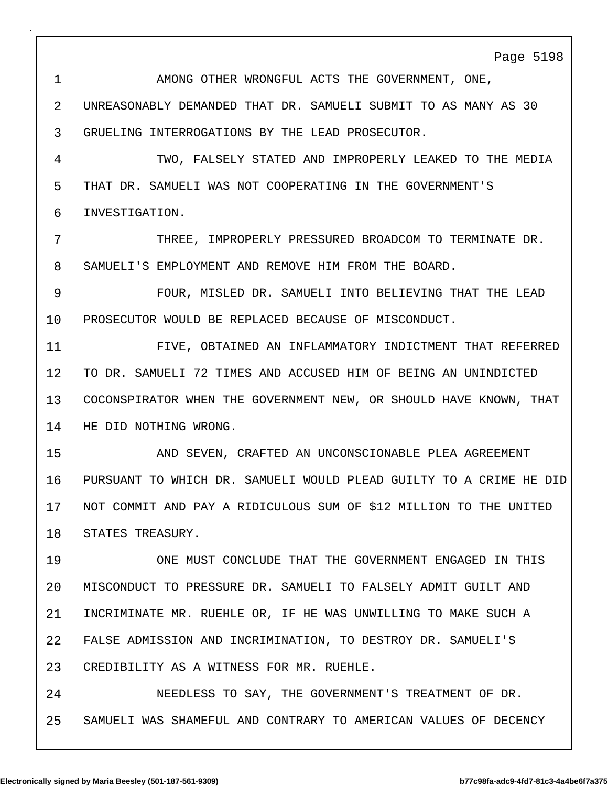1 AMONG OTHER WRONGFUL ACTS THE GOVERNMENT, ONE, UNREASONABLY DEMANDED THAT DR. SAMUELI SUBMIT TO AS MANY AS 30 GRUELING INTERROGATIONS BY THE LEAD PROSECUTOR.

4 TWO, FALSELY STATED AND IMPROPERLY LEAKED TO THE MEDIA THAT DR. SAMUELI WAS NOT COOPERATING IN THE GOVERNMENT'S INVESTIGATION.

7 THREE, IMPROPERLY PRESSURED BROADCOM TO TERMINATE DR. SAMUELI'S EMPLOYMENT AND REMOVE HIM FROM THE BOARD.

9 FOUR, MISLED DR. SAMUELI INTO BELIEVING THAT THE LEAD PROSECUTOR WOULD BE REPLACED BECAUSE OF MISCONDUCT.

11 FIVE, OBTAINED AN INFLAMMATORY INDICTMENT THAT REFERRED TO DR. SAMUELI 72 TIMES AND ACCUSED HIM OF BEING AN UNINDICTED COCONSPIRATOR WHEN THE GOVERNMENT NEW, OR SHOULD HAVE KNOWN, THAT HE DID NOTHING WRONG.

15 AND SEVEN, CRAFTED AN UNCONSCIONABLE PLEA AGREEMENT PURSUANT TO WHICH DR. SAMUELI WOULD PLEAD GUILTY TO A CRIME HE DID NOT COMMIT AND PAY A RIDICULOUS SUM OF \$12 MILLION TO THE UNITED STATES TREASURY.

19 ONE MUST CONCLUDE THAT THE GOVERNMENT ENGAGED IN THIS MISCONDUCT TO PRESSURE DR. SAMUELI TO FALSELY ADMIT GUILT AND INCRIMINATE MR. RUEHLE OR, IF HE WAS UNWILLING TO MAKE SUCH A FALSE ADMISSION AND INCRIMINATION, TO DESTROY DR. SAMUELI'S CREDIBILITY AS A WITNESS FOR MR. RUEHLE.

24 NEEDLESS TO SAY, THE GOVERNMENT'S TREATMENT OF DR. SAMUELI WAS SHAMEFUL AND CONTRARY TO AMERICAN VALUES OF DECENCY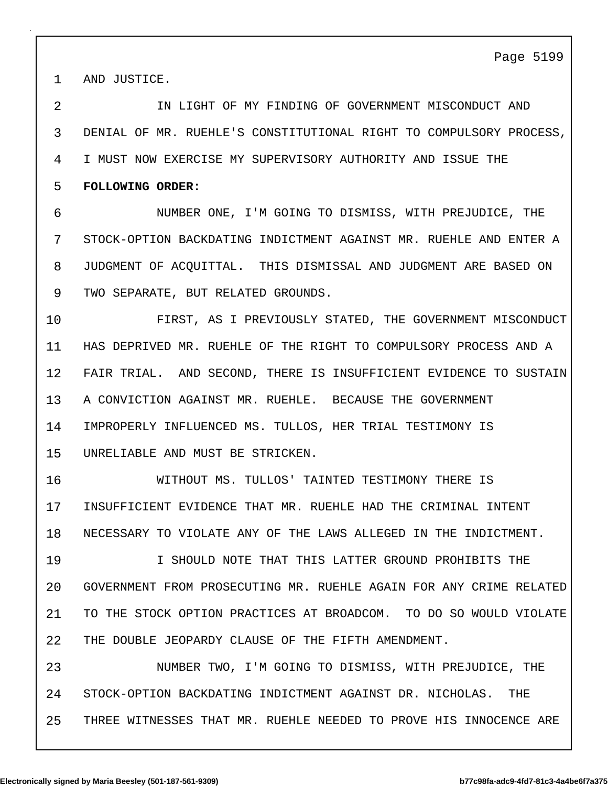AND JUSTICE.

2 IN LIGHT OF MY FINDING OF GOVERNMENT MISCONDUCT AND DENIAL OF MR. RUEHLE'S CONSTITUTIONAL RIGHT TO COMPULSORY PROCESS, I MUST NOW EXERCISE MY SUPERVISORY AUTHORITY AND ISSUE THE

**FOLLOWING ORDER:**

6 NUMBER ONE, I'M GOING TO DISMISS, WITH PREJUDICE, THE STOCK-OPTION BACKDATING INDICTMENT AGAINST MR. RUEHLE AND ENTER A JUDGMENT OF ACQUITTAL. THIS DISMISSAL AND JUDGMENT ARE BASED ON TWO SEPARATE, BUT RELATED GROUNDS.

10 FIRST, AS I PREVIOUSLY STATED, THE GOVERNMENT MISCONDUCT HAS DEPRIVED MR. RUEHLE OF THE RIGHT TO COMPULSORY PROCESS AND A FAIR TRIAL. AND SECOND, THERE IS INSUFFICIENT EVIDENCE TO SUSTAIN A CONVICTION AGAINST MR. RUEHLE. BECAUSE THE GOVERNMENT IMPROPERLY INFLUENCED MS. TULLOS, HER TRIAL TESTIMONY IS UNRELIABLE AND MUST BE STRICKEN.

16 WITHOUT MS. TULLOS' TAINTED TESTIMONY THERE IS INSUFFICIENT EVIDENCE THAT MR. RUEHLE HAD THE CRIMINAL INTENT NECESSARY TO VIOLATE ANY OF THE LAWS ALLEGED IN THE INDICTMENT.

19 I SHOULD NOTE THAT THIS LATTER GROUND PROHIBITS THE GOVERNMENT FROM PROSECUTING MR. RUEHLE AGAIN FOR ANY CRIME RELATED TO THE STOCK OPTION PRACTICES AT BROADCOM. TO DO SO WOULD VIOLATE THE DOUBLE JEOPARDY CLAUSE OF THE FIFTH AMENDMENT.

23 NUMBER TWO, I'M GOING TO DISMISS, WITH PREJUDICE, THE STOCK-OPTION BACKDATING INDICTMENT AGAINST DR. NICHOLAS. THE THREE WITNESSES THAT MR. RUEHLE NEEDED TO PROVE HIS INNOCENCE ARE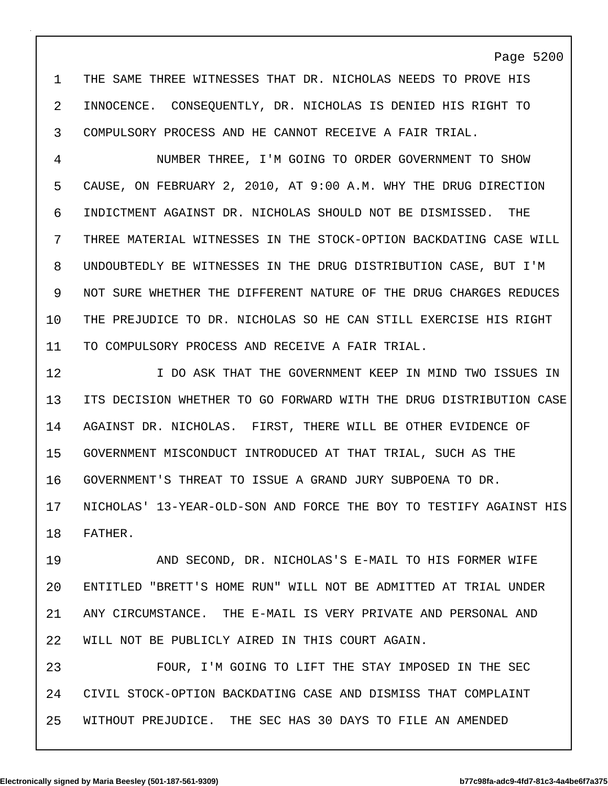THE SAME THREE WITNESSES THAT DR. NICHOLAS NEEDS TO PROVE HIS INNOCENCE. CONSEQUENTLY, DR. NICHOLAS IS DENIED HIS RIGHT TO COMPULSORY PROCESS AND HE CANNOT RECEIVE A FAIR TRIAL.

4 NUMBER THREE, I'M GOING TO ORDER GOVERNMENT TO SHOW CAUSE, ON FEBRUARY 2, 2010, AT 9:00 A.M. WHY THE DRUG DIRECTION INDICTMENT AGAINST DR. NICHOLAS SHOULD NOT BE DISMISSED. THE THREE MATERIAL WITNESSES IN THE STOCK-OPTION BACKDATING CASE WILL UNDOUBTEDLY BE WITNESSES IN THE DRUG DISTRIBUTION CASE, BUT I'M NOT SURE WHETHER THE DIFFERENT NATURE OF THE DRUG CHARGES REDUCES THE PREJUDICE TO DR. NICHOLAS SO HE CAN STILL EXERCISE HIS RIGHT TO COMPULSORY PROCESS AND RECEIVE A FAIR TRIAL.

**I DO ASK THAT THE GOVERNMENT KEEP IN MIND TWO ISSUES IN**  ITS DECISION WHETHER TO GO FORWARD WITH THE DRUG DISTRIBUTION CASE AGAINST DR. NICHOLAS. FIRST, THERE WILL BE OTHER EVIDENCE OF GOVERNMENT MISCONDUCT INTRODUCED AT THAT TRIAL, SUCH AS THE GOVERNMENT'S THREAT TO ISSUE A GRAND JURY SUBPOENA TO DR. NICHOLAS' 13-YEAR-OLD-SON AND FORCE THE BOY TO TESTIFY AGAINST HIS FATHER.

19 AND SECOND, DR. NICHOLAS'S E-MAIL TO HIS FORMER WIFE ENTITLED "BRETT'S HOME RUN" WILL NOT BE ADMITTED AT TRIAL UNDER ANY CIRCUMSTANCE. THE E-MAIL IS VERY PRIVATE AND PERSONAL AND WILL NOT BE PUBLICLY AIRED IN THIS COURT AGAIN.

23 FOUR, I'M GOING TO LIFT THE STAY IMPOSED IN THE SEC CIVIL STOCK-OPTION BACKDATING CASE AND DISMISS THAT COMPLAINT WITHOUT PREJUDICE. THE SEC HAS 30 DAYS TO FILE AN AMENDED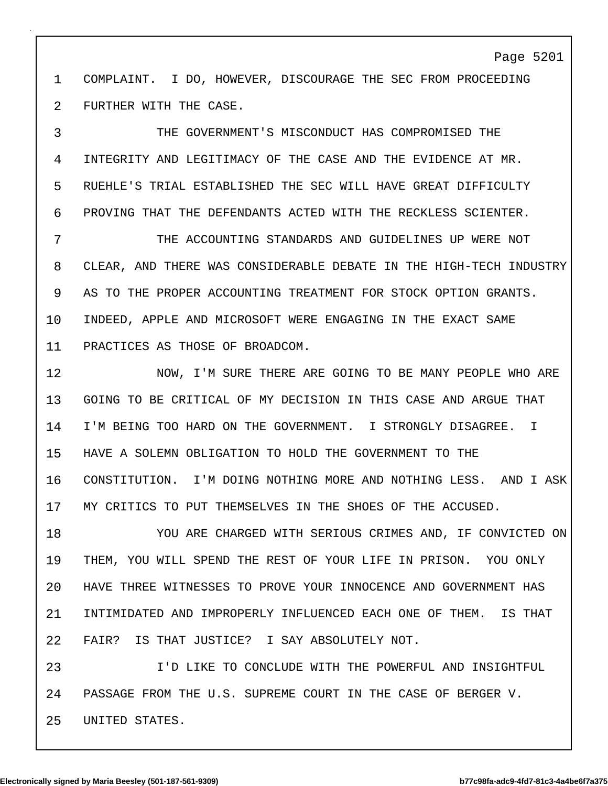COMPLAINT. I DO, HOWEVER, DISCOURAGE THE SEC FROM PROCEEDING FURTHER WITH THE CASE.

3 THE GOVERNMENT'S MISCONDUCT HAS COMPROMISED THE INTEGRITY AND LEGITIMACY OF THE CASE AND THE EVIDENCE AT MR. RUEHLE'S TRIAL ESTABLISHED THE SEC WILL HAVE GREAT DIFFICULTY PROVING THAT THE DEFENDANTS ACTED WITH THE RECKLESS SCIENTER.

7 THE ACCOUNTING STANDARDS AND GUIDELINES UP WERE NOT CLEAR, AND THERE WAS CONSIDERABLE DEBATE IN THE HIGH-TECH INDUSTRY AS TO THE PROPER ACCOUNTING TREATMENT FOR STOCK OPTION GRANTS. INDEED, APPLE AND MICROSOFT WERE ENGAGING IN THE EXACT SAME PRACTICES AS THOSE OF BROADCOM.

12 NOW, I'M SURE THERE ARE GOING TO BE MANY PEOPLE WHO ARE GOING TO BE CRITICAL OF MY DECISION IN THIS CASE AND ARGUE THAT I'M BEING TOO HARD ON THE GOVERNMENT. I STRONGLY DISAGREE. I HAVE A SOLEMN OBLIGATION TO HOLD THE GOVERNMENT TO THE CONSTITUTION. I'M DOING NOTHING MORE AND NOTHING LESS. AND I ASK MY CRITICS TO PUT THEMSELVES IN THE SHOES OF THE ACCUSED.

18 YOU ARE CHARGED WITH SERIOUS CRIMES AND, IF CONVICTED ON THEM, YOU WILL SPEND THE REST OF YOUR LIFE IN PRISON. YOU ONLY HAVE THREE WITNESSES TO PROVE YOUR INNOCENCE AND GOVERNMENT HAS INTIMIDATED AND IMPROPERLY INFLUENCED EACH ONE OF THEM. IS THAT FAIR? IS THAT JUSTICE? I SAY ABSOLUTELY NOT.

23 I'D LIKE TO CONCLUDE WITH THE POWERFUL AND INSIGHTFUL PASSAGE FROM THE U.S. SUPREME COURT IN THE CASE OF BERGER V. UNITED STATES.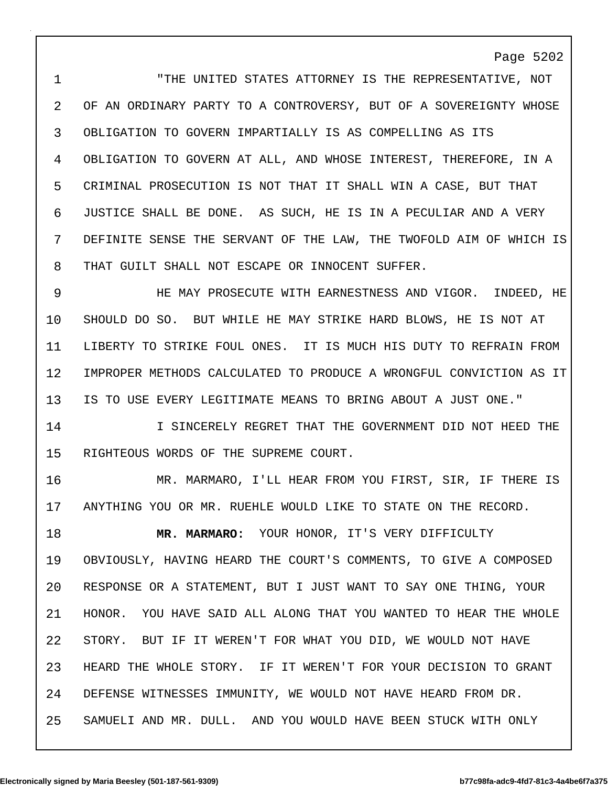1 "THE UNITED STATES ATTORNEY IS THE REPRESENTATIVE, NOT OF AN ORDINARY PARTY TO A CONTROVERSY, BUT OF A SOVEREIGNTY WHOSE OBLIGATION TO GOVERN IMPARTIALLY IS AS COMPELLING AS ITS OBLIGATION TO GOVERN AT ALL, AND WHOSE INTEREST, THEREFORE, IN A CRIMINAL PROSECUTION IS NOT THAT IT SHALL WIN A CASE, BUT THAT JUSTICE SHALL BE DONE. AS SUCH, HE IS IN A PECULIAR AND A VERY DEFINITE SENSE THE SERVANT OF THE LAW, THE TWOFOLD AIM OF WHICH IS THAT GUILT SHALL NOT ESCAPE OR INNOCENT SUFFER.

9 HE MAY PROSECUTE WITH EARNESTNESS AND VIGOR. INDEED, HE SHOULD DO SO. BUT WHILE HE MAY STRIKE HARD BLOWS, HE IS NOT AT LIBERTY TO STRIKE FOUL ONES. IT IS MUCH HIS DUTY TO REFRAIN FROM IMPROPER METHODS CALCULATED TO PRODUCE A WRONGFUL CONVICTION AS IT IS TO USE EVERY LEGITIMATE MEANS TO BRING ABOUT A JUST ONE."

**I SINCERELY REGRET THAT THE GOVERNMENT DID NOT HEED THE** RIGHTEOUS WORDS OF THE SUPREME COURT.

16 MR. MARMARO, I'LL HEAR FROM YOU FIRST, SIR, IF THERE IS ANYTHING YOU OR MR. RUEHLE WOULD LIKE TO STATE ON THE RECORD.

 **MR. MARMARO:** YOUR HONOR, IT'S VERY DIFFICULTY OBVIOUSLY, HAVING HEARD THE COURT'S COMMENTS, TO GIVE A COMPOSED RESPONSE OR A STATEMENT, BUT I JUST WANT TO SAY ONE THING, YOUR HONOR. YOU HAVE SAID ALL ALONG THAT YOU WANTED TO HEAR THE WHOLE STORY. BUT IF IT WEREN'T FOR WHAT YOU DID, WE WOULD NOT HAVE HEARD THE WHOLE STORY. IF IT WEREN'T FOR YOUR DECISION TO GRANT DEFENSE WITNESSES IMMUNITY, WE WOULD NOT HAVE HEARD FROM DR. SAMUELI AND MR. DULL. AND YOU WOULD HAVE BEEN STUCK WITH ONLY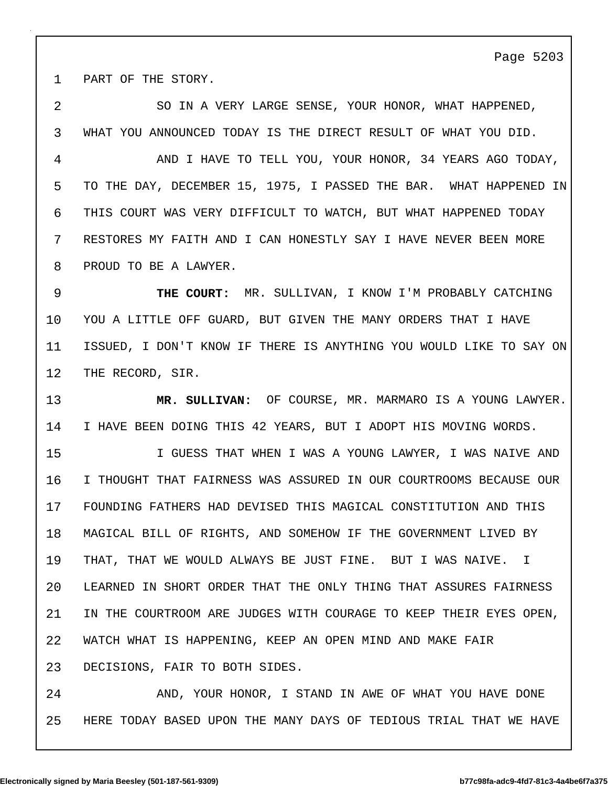PART OF THE STORY.

2 SO IN A VERY LARGE SENSE, YOUR HONOR, WHAT HAPPENED, WHAT YOU ANNOUNCED TODAY IS THE DIRECT RESULT OF WHAT YOU DID.

4 AND I HAVE TO TELL YOU, YOUR HONOR, 34 YEARS AGO TODAY, TO THE DAY, DECEMBER 15, 1975, I PASSED THE BAR. WHAT HAPPENED IN THIS COURT WAS VERY DIFFICULT TO WATCH, BUT WHAT HAPPENED TODAY RESTORES MY FAITH AND I CAN HONESTLY SAY I HAVE NEVER BEEN MORE PROUD TO BE A LAWYER.

 **THE COURT:** MR. SULLIVAN, I KNOW I'M PROBABLY CATCHING YOU A LITTLE OFF GUARD, BUT GIVEN THE MANY ORDERS THAT I HAVE ISSUED, I DON'T KNOW IF THERE IS ANYTHING YOU WOULD LIKE TO SAY ON THE RECORD, SIR.

 **MR. SULLIVAN:** OF COURSE, MR. MARMARO IS A YOUNG LAWYER. I HAVE BEEN DOING THIS 42 YEARS, BUT I ADOPT HIS MOVING WORDS.

15 I GUESS THAT WHEN I WAS A YOUNG LAWYER, I WAS NAIVE AND I THOUGHT THAT FAIRNESS WAS ASSURED IN OUR COURTROOMS BECAUSE OUR FOUNDING FATHERS HAD DEVISED THIS MAGICAL CONSTITUTION AND THIS MAGICAL BILL OF RIGHTS, AND SOMEHOW IF THE GOVERNMENT LIVED BY THAT, THAT WE WOULD ALWAYS BE JUST FINE. BUT I WAS NAIVE. I LEARNED IN SHORT ORDER THAT THE ONLY THING THAT ASSURES FAIRNESS IN THE COURTROOM ARE JUDGES WITH COURAGE TO KEEP THEIR EYES OPEN, WATCH WHAT IS HAPPENING, KEEP AN OPEN MIND AND MAKE FAIR DECISIONS, FAIR TO BOTH SIDES.

**AND, YOUR HONOR, I STAND IN AWE OF WHAT YOU HAVE DONE** HERE TODAY BASED UPON THE MANY DAYS OF TEDIOUS TRIAL THAT WE HAVE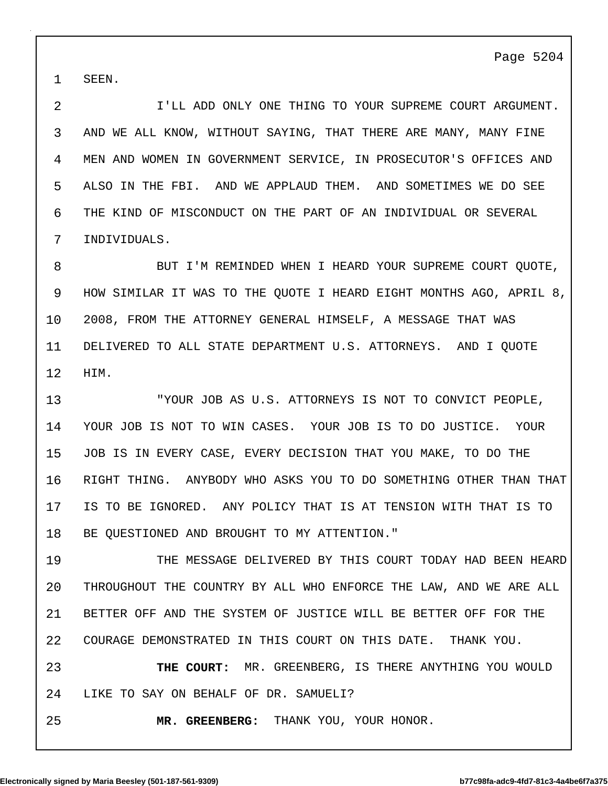SEEN.

2 I'LL ADD ONLY ONE THING TO YOUR SUPREME COURT ARGUMENT. AND WE ALL KNOW, WITHOUT SAYING, THAT THERE ARE MANY, MANY FINE MEN AND WOMEN IN GOVERNMENT SERVICE, IN PROSECUTOR'S OFFICES AND ALSO IN THE FBI. AND WE APPLAUD THEM. AND SOMETIMES WE DO SEE THE KIND OF MISCONDUCT ON THE PART OF AN INDIVIDUAL OR SEVERAL INDIVIDUALS.

8 BUT I'M REMINDED WHEN I HEARD YOUR SUPREME COURT QUOTE, HOW SIMILAR IT WAS TO THE QUOTE I HEARD EIGHT MONTHS AGO, APRIL 8, 2008, FROM THE ATTORNEY GENERAL HIMSELF, A MESSAGE THAT WAS DELIVERED TO ALL STATE DEPARTMENT U.S. ATTORNEYS. AND I QUOTE HIM.

13 "YOUR JOB AS U.S. ATTORNEYS IS NOT TO CONVICT PEOPLE, YOUR JOB IS NOT TO WIN CASES. YOUR JOB IS TO DO JUSTICE. YOUR JOB IS IN EVERY CASE, EVERY DECISION THAT YOU MAKE, TO DO THE RIGHT THING. ANYBODY WHO ASKS YOU TO DO SOMETHING OTHER THAN THAT IS TO BE IGNORED. ANY POLICY THAT IS AT TENSION WITH THAT IS TO BE QUESTIONED AND BROUGHT TO MY ATTENTION."

19 THE MESSAGE DELIVERED BY THIS COURT TODAY HAD BEEN HEARD THROUGHOUT THE COUNTRY BY ALL WHO ENFORCE THE LAW, AND WE ARE ALL BETTER OFF AND THE SYSTEM OF JUSTICE WILL BE BETTER OFF FOR THE COURAGE DEMONSTRATED IN THIS COURT ON THIS DATE. THANK YOU.  **THE COURT:** MR. GREENBERG, IS THERE ANYTHING YOU WOULD LIKE TO SAY ON BEHALF OF DR. SAMUELI?  **MR. GREENBERG:** THANK YOU, YOUR HONOR.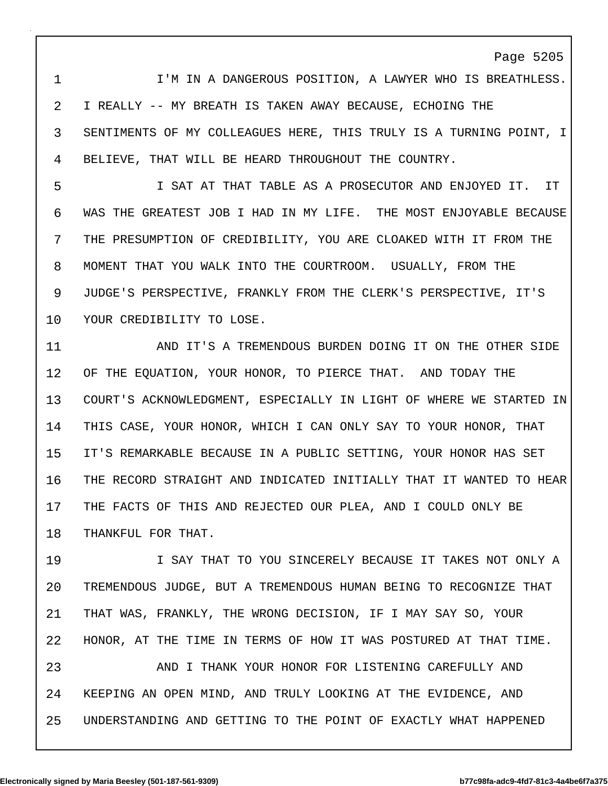**I'M IN A DANGEROUS POSITION, A LAWYER WHO IS BREATHLESS.**  I REALLY -- MY BREATH IS TAKEN AWAY BECAUSE, ECHOING THE SENTIMENTS OF MY COLLEAGUES HERE, THIS TRULY IS A TURNING POINT, I BELIEVE, THAT WILL BE HEARD THROUGHOUT THE COUNTRY.

5 I SAT AT THAT TABLE AS A PROSECUTOR AND ENJOYED IT. IT WAS THE GREATEST JOB I HAD IN MY LIFE. THE MOST ENJOYABLE BECAUSE THE PRESUMPTION OF CREDIBILITY, YOU ARE CLOAKED WITH IT FROM THE MOMENT THAT YOU WALK INTO THE COURTROOM. USUALLY, FROM THE JUDGE'S PERSPECTIVE, FRANKLY FROM THE CLERK'S PERSPECTIVE, IT'S YOUR CREDIBILITY TO LOSE.

**AND IT'S A TREMENDOUS BURDEN DOING IT ON THE OTHER SIDE**  OF THE EQUATION, YOUR HONOR, TO PIERCE THAT. AND TODAY THE COURT'S ACKNOWLEDGMENT, ESPECIALLY IN LIGHT OF WHERE WE STARTED IN THIS CASE, YOUR HONOR, WHICH I CAN ONLY SAY TO YOUR HONOR, THAT IT'S REMARKABLE BECAUSE IN A PUBLIC SETTING, YOUR HONOR HAS SET THE RECORD STRAIGHT AND INDICATED INITIALLY THAT IT WANTED TO HEAR THE FACTS OF THIS AND REJECTED OUR PLEA, AND I COULD ONLY BE THANKFUL FOR THAT.

19 I SAY THAT TO YOU SINCERELY BECAUSE IT TAKES NOT ONLY A TREMENDOUS JUDGE, BUT A TREMENDOUS HUMAN BEING TO RECOGNIZE THAT THAT WAS, FRANKLY, THE WRONG DECISION, IF I MAY SAY SO, YOUR HONOR, AT THE TIME IN TERMS OF HOW IT WAS POSTURED AT THAT TIME. 23 AND I THANK YOUR HONOR FOR LISTENING CAREFULLY AND KEEPING AN OPEN MIND, AND TRULY LOOKING AT THE EVIDENCE, AND UNDERSTANDING AND GETTING TO THE POINT OF EXACTLY WHAT HAPPENED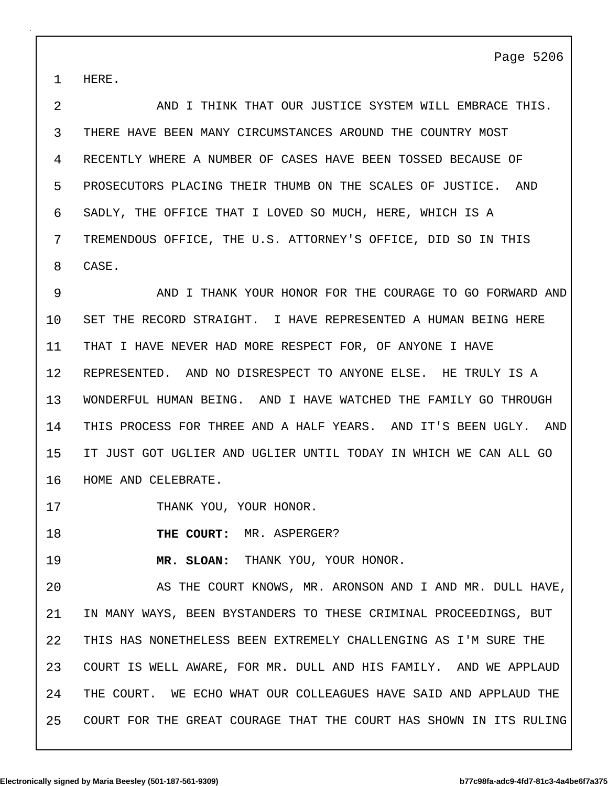HERE.

2 AND I THINK THAT OUR JUSTICE SYSTEM WILL EMBRACE THIS. THERE HAVE BEEN MANY CIRCUMSTANCES AROUND THE COUNTRY MOST RECENTLY WHERE A NUMBER OF CASES HAVE BEEN TOSSED BECAUSE OF PROSECUTORS PLACING THEIR THUMB ON THE SCALES OF JUSTICE. AND SADLY, THE OFFICE THAT I LOVED SO MUCH, HERE, WHICH IS A TREMENDOUS OFFICE, THE U.S. ATTORNEY'S OFFICE, DID SO IN THIS CASE.

9 AND I THANK YOUR HONOR FOR THE COURAGE TO GO FORWARD AND SET THE RECORD STRAIGHT. I HAVE REPRESENTED A HUMAN BEING HERE THAT I HAVE NEVER HAD MORE RESPECT FOR, OF ANYONE I HAVE REPRESENTED. AND NO DISRESPECT TO ANYONE ELSE. HE TRULY IS A WONDERFUL HUMAN BEING. AND I HAVE WATCHED THE FAMILY GO THROUGH THIS PROCESS FOR THREE AND A HALF YEARS. AND IT'S BEEN UGLY. AND IT JUST GOT UGLIER AND UGLIER UNTIL TODAY IN WHICH WE CAN ALL GO HOME AND CELEBRATE.

17 THANK YOU, YOUR HONOR.

18 THE COURT: MR. ASPERGER?

 **MR. SLOAN:** THANK YOU, YOUR HONOR.

20 AS THE COURT KNOWS, MR. ARONSON AND I AND MR. DULL HAVE, IN MANY WAYS, BEEN BYSTANDERS TO THESE CRIMINAL PROCEEDINGS, BUT THIS HAS NONETHELESS BEEN EXTREMELY CHALLENGING AS I'M SURE THE COURT IS WELL AWARE, FOR MR. DULL AND HIS FAMILY. AND WE APPLAUD THE COURT. WE ECHO WHAT OUR COLLEAGUES HAVE SAID AND APPLAUD THE COURT FOR THE GREAT COURAGE THAT THE COURT HAS SHOWN IN ITS RULING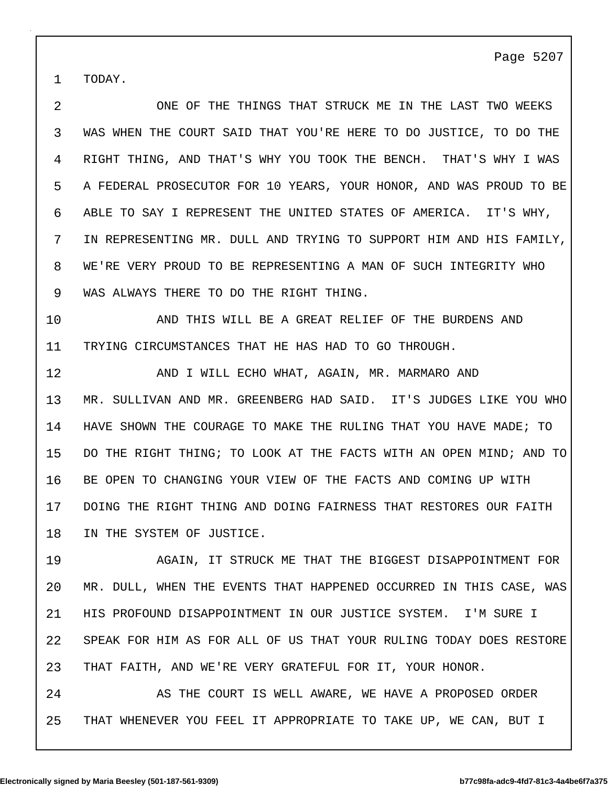TODAY.

2 ONE OF THE THINGS THAT STRUCK ME IN THE LAST TWO WEEKS WAS WHEN THE COURT SAID THAT YOU'RE HERE TO DO JUSTICE, TO DO THE RIGHT THING, AND THAT'S WHY YOU TOOK THE BENCH. THAT'S WHY I WAS A FEDERAL PROSECUTOR FOR 10 YEARS, YOUR HONOR, AND WAS PROUD TO BE ABLE TO SAY I REPRESENT THE UNITED STATES OF AMERICA. IT'S WHY, IN REPRESENTING MR. DULL AND TRYING TO SUPPORT HIM AND HIS FAMILY, WE'RE VERY PROUD TO BE REPRESENTING A MAN OF SUCH INTEGRITY WHO WAS ALWAYS THERE TO DO THE RIGHT THING. 10 AND THIS WILL BE A GREAT RELIEF OF THE BURDENS AND

TRYING CIRCUMSTANCES THAT HE HAS HAD TO GO THROUGH.

**AND I WILL ECHO WHAT, AGAIN, MR. MARMARO AND**  MR. SULLIVAN AND MR. GREENBERG HAD SAID. IT'S JUDGES LIKE YOU WHO HAVE SHOWN THE COURAGE TO MAKE THE RULING THAT YOU HAVE MADE; TO DO THE RIGHT THING; TO LOOK AT THE FACTS WITH AN OPEN MIND; AND TO BE OPEN TO CHANGING YOUR VIEW OF THE FACTS AND COMING UP WITH DOING THE RIGHT THING AND DOING FAIRNESS THAT RESTORES OUR FAITH IN THE SYSTEM OF JUSTICE.

19 AGAIN, IT STRUCK ME THAT THE BIGGEST DISAPPOINTMENT FOR MR. DULL, WHEN THE EVENTS THAT HAPPENED OCCURRED IN THIS CASE, WAS HIS PROFOUND DISAPPOINTMENT IN OUR JUSTICE SYSTEM. I'M SURE I SPEAK FOR HIM AS FOR ALL OF US THAT YOUR RULING TODAY DOES RESTORE THAT FAITH, AND WE'RE VERY GRATEFUL FOR IT, YOUR HONOR.

**AS THE COURT IS WELL AWARE, WE HAVE A PROPOSED ORDER** THAT WHENEVER YOU FEEL IT APPROPRIATE TO TAKE UP, WE CAN, BUT I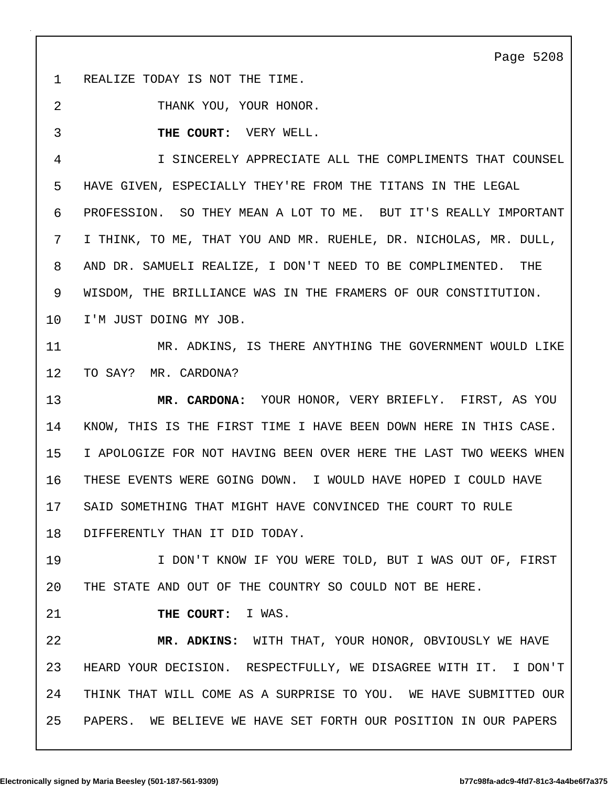REALIZE TODAY IS NOT THE TIME.

2 THANK YOU, YOUR HONOR.

 **THE COURT:** VERY WELL.

4 I SINCERELY APPRECIATE ALL THE COMPLIMENTS THAT COUNSEL HAVE GIVEN, ESPECIALLY THEY'RE FROM THE TITANS IN THE LEGAL PROFESSION. SO THEY MEAN A LOT TO ME. BUT IT'S REALLY IMPORTANT I THINK, TO ME, THAT YOU AND MR. RUEHLE, DR. NICHOLAS, MR. DULL, AND DR. SAMUELI REALIZE, I DON'T NEED TO BE COMPLIMENTED. THE WISDOM, THE BRILLIANCE WAS IN THE FRAMERS OF OUR CONSTITUTION. I'M JUST DOING MY JOB.

11 MR. ADKINS, IS THERE ANYTHING THE GOVERNMENT WOULD LIKE TO SAY? MR. CARDONA?

 **MR. CARDONA:** YOUR HONOR, VERY BRIEFLY. FIRST, AS YOU KNOW, THIS IS THE FIRST TIME I HAVE BEEN DOWN HERE IN THIS CASE. I APOLOGIZE FOR NOT HAVING BEEN OVER HERE THE LAST TWO WEEKS WHEN THESE EVENTS WERE GOING DOWN. I WOULD HAVE HOPED I COULD HAVE SAID SOMETHING THAT MIGHT HAVE CONVINCED THE COURT TO RULE DIFFERENTLY THAN IT DID TODAY.

19 I DON'T KNOW IF YOU WERE TOLD, BUT I WAS OUT OF, FIRST THE STATE AND OUT OF THE COUNTRY SO COULD NOT BE HERE.

 **THE COURT:** I WAS.

 **MR. ADKINS:** WITH THAT, YOUR HONOR, OBVIOUSLY WE HAVE HEARD YOUR DECISION. RESPECTFULLY, WE DISAGREE WITH IT. I DON'T THINK THAT WILL COME AS A SURPRISE TO YOU. WE HAVE SUBMITTED OUR PAPERS. WE BELIEVE WE HAVE SET FORTH OUR POSITION IN OUR PAPERS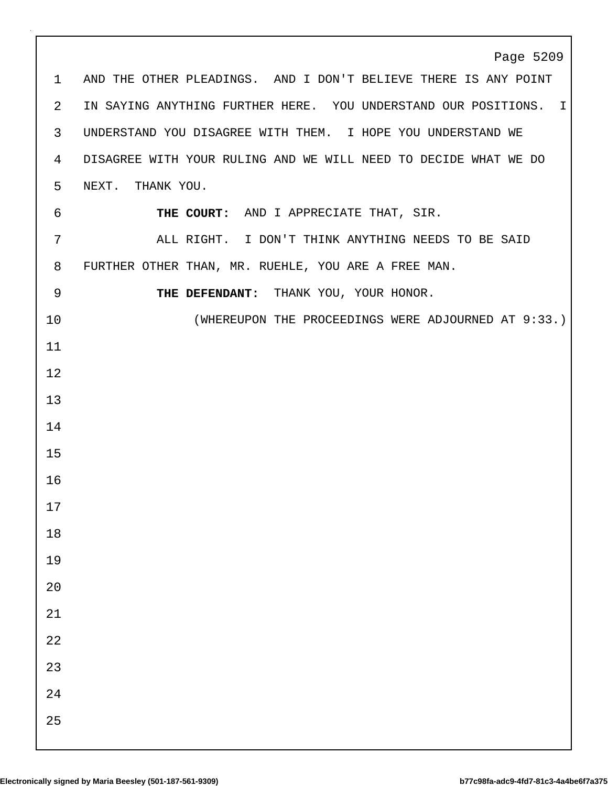|                | Page 5209                                                        |
|----------------|------------------------------------------------------------------|
| $\mathbf{1}$   | AND THE OTHER PLEADINGS. AND I DON'T BELIEVE THERE IS ANY POINT  |
| 2              | IN SAYING ANYTHING FURTHER HERE. YOU UNDERSTAND OUR POSITIONS. I |
| 3              | UNDERSTAND YOU DISAGREE WITH THEM. I HOPE YOU UNDERSTAND WE      |
| $\overline{4}$ | DISAGREE WITH YOUR RULING AND WE WILL NEED TO DECIDE WHAT WE DO  |
| 5              | NEXT. THANK YOU.                                                 |
| 6              | THE COURT: AND I APPRECIATE THAT, SIR.                           |
| 7              | ALL RIGHT. I DON'T THINK ANYTHING NEEDS TO BE SAID               |
| 8              | FURTHER OTHER THAN, MR. RUEHLE, YOU ARE A FREE MAN.              |
| 9              | THE DEFENDANT: THANK YOU, YOUR HONOR.                            |
| 10             | (WHEREUPON THE PROCEEDINGS WERE ADJOURNED AT 9:33.)              |
| 11             |                                                                  |
| 12             |                                                                  |
| 13             |                                                                  |
| 14             |                                                                  |
| 15             |                                                                  |
| 16             |                                                                  |
| 17             |                                                                  |
| $18\,$         |                                                                  |
| 19             |                                                                  |
| $20$           |                                                                  |
| 21             |                                                                  |
| $2\sqrt{2}$    |                                                                  |
| 23             |                                                                  |
| 24             |                                                                  |
| 25             |                                                                  |
|                |                                                                  |